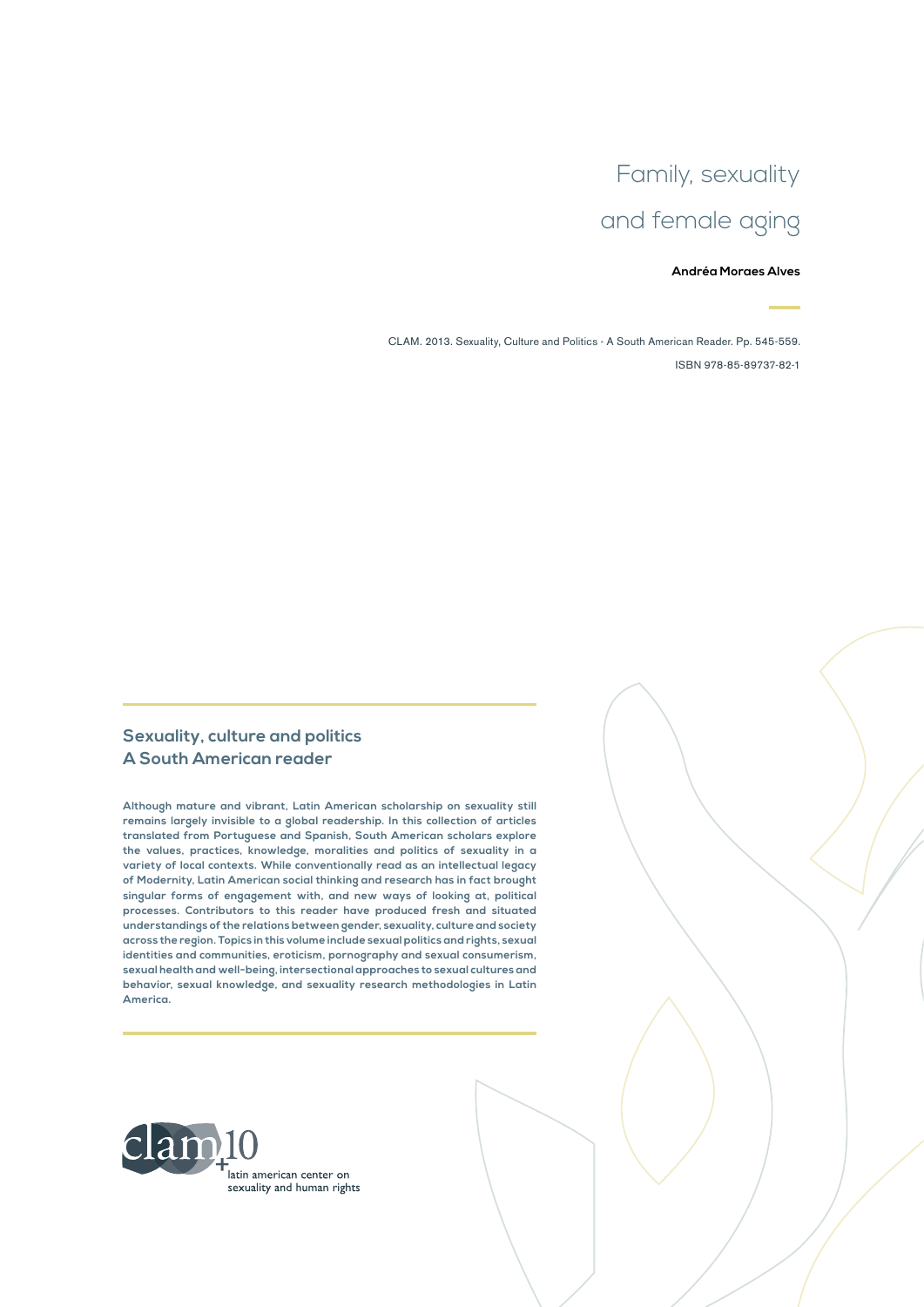# Family, sexuality and female aging

#### **Andréa Moraes Alves**

CLAM. 2013. Sexuality, Culture and Politics - A South American Reader. Pp. 545-559. ISBN 978-85-89737-82-1

#### **Sexuality, culture and politics A South American reader**

**Although mature and vibrant, Latin American scholarship on sexuality still remains largely invisible to a global readership. In this collection of articles translated from Portuguese and Spanish, South American scholars explore the values, practices, knowledge, moralities and politics of sexuality in a variety of local contexts. While conventionally read as an intellectual legacy of Modernity, Latin American social thinking and research has in fact brought singular forms of engagement with, and new ways of looking at, political processes. Contributors to this reader have produced fresh and situated understandings of the relations between gender, sexuality, culture and society across the region. Topics in this volume include sexual politics and rights, sexual identities and communities, eroticism, pornography and sexual consumerism, sexual health and well-being, intersectional approaches to sexual cultures and behavior, sexual knowledge, and sexuality research methodologies in Latin America.**

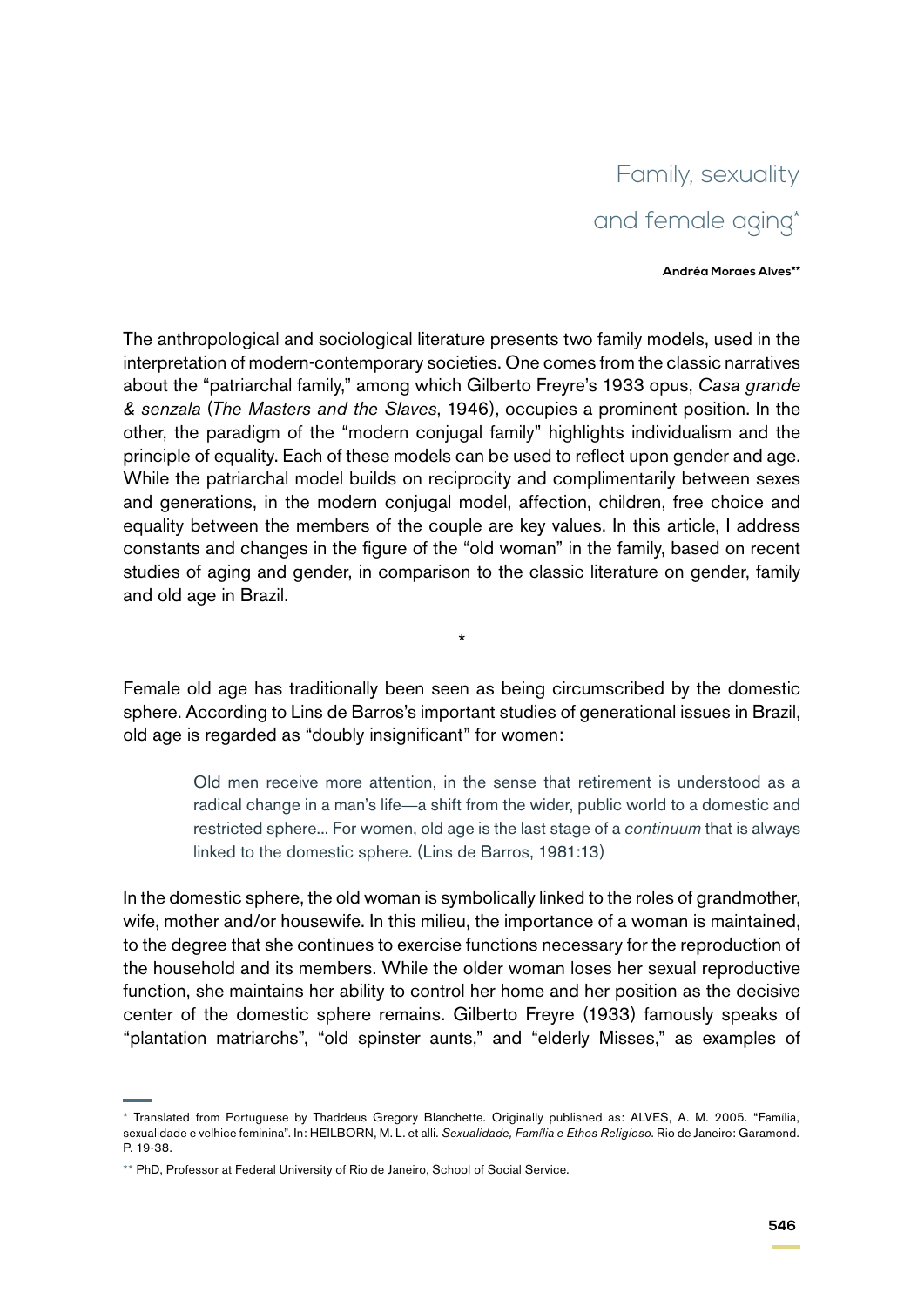## Family, sexuality and female aging\*

**Andréa Moraes Alves\*\***

The anthropological and sociological literature presents two family models, used in the interpretation of modern-contemporary societies. One comes from the classic narratives about the "patriarchal family," among which Gilberto Freyre's 1933 opus, *Casa grande & senzala* (*The Masters and the Slaves*, 1946), occupies a prominent position. In the other, the paradigm of the "modern conjugal family" highlights individualism and the principle of equality. Each of these models can be used to reflect upon gender and age. While the patriarchal model builds on reciprocity and complimentarily between sexes and generations, in the modern conjugal model, affection, children, free choice and equality between the members of the couple are key values. In this article, I address constants and changes in the figure of the "old woman" in the family, based on recent studies of aging and gender, in comparison to the classic literature on gender, family and old age in Brazil.

Female old age has traditionally been seen as being circumscribed by the domestic sphere. According to Lins de Barros's important studies of generational issues in Brazil, old age is regarded as "doubly insignificant" for women:

\*

Old men receive more attention, in the sense that retirement is understood as a radical change in a man's life—a shift from the wider, public world to a domestic and restricted sphere... For women, old age is the last stage of a *continuum* that is always linked to the domestic sphere. (Lins de Barros, 1981:13)

In the domestic sphere, the old woman is symbolically linked to the roles of grandmother, wife, mother and/or housewife. In this milieu, the importance of a woman is maintained, to the degree that she continues to exercise functions necessary for the reproduction of the household and its members. While the older woman loses her sexual reproductive function, she maintains her ability to control her home and her position as the decisive center of the domestic sphere remains. Gilberto Freyre (1933) famously speaks of "plantation matriarchs", "old spinster aunts," and "elderly Misses," as examples of

<sup>\*</sup> Translated from Portuguese by Thaddeus Gregory Blanchette. Originally published as: ALVES, A. M. 2005. "Família, sexualidade e velhice feminina". In: HEILBORN, M. L. et alli. *Sexualidade, Família e Ethos Religioso*. Rio de Janeiro: Garamond. P. 19-38.

<sup>\*\*</sup> PhD, Professor at Federal University of Rio de Janeiro, School of Social Service.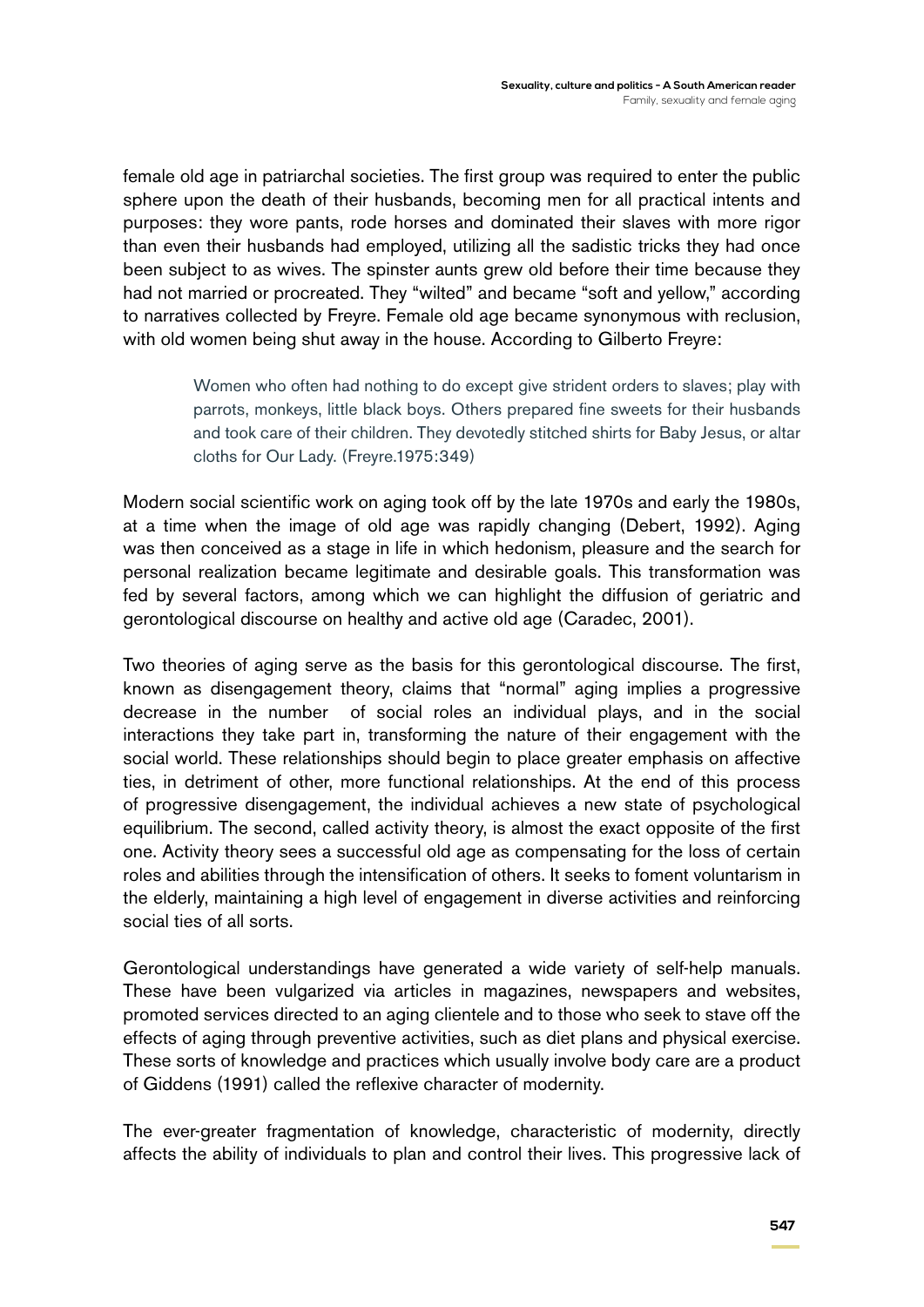female old age in patriarchal societies. The first group was required to enter the public sphere upon the death of their husbands, becoming men for all practical intents and purposes: they wore pants, rode horses and dominated their slaves with more rigor than even their husbands had employed, utilizing all the sadistic tricks they had once been subject to as wives. The spinster aunts grew old before their time because they had not married or procreated. They "wilted" and became "soft and yellow," according to narratives collected by Freyre. Female old age became synonymous with reclusion, with old women being shut away in the house. According to Gilberto Freyre:

> Women who often had nothing to do except give strident orders to slaves; play with parrots, monkeys, little black boys. Others prepared fine sweets for their husbands and took care of their children. They devotedly stitched shirts for Baby Jesus, or altar cloths for Our Lady. (Freyre.1975:349)

Modern social scientific work on aging took off by the late 1970s and early the 1980s, at a time when the image of old age was rapidly changing (Debert, 1992). Aging was then conceived as a stage in life in which hedonism, pleasure and the search for personal realization became legitimate and desirable goals. This transformation was fed by several factors, among which we can highlight the diffusion of geriatric and gerontological discourse on healthy and active old age (Caradec, 2001).

Two theories of aging serve as the basis for this gerontological discourse. The first, known as disengagement theory, claims that "normal" aging implies a progressive decrease in the number of social roles an individual plays, and in the social interactions they take part in, transforming the nature of their engagement with the social world. These relationships should begin to place greater emphasis on affective ties, in detriment of other, more functional relationships. At the end of this process of progressive disengagement, the individual achieves a new state of psychological equilibrium. The second, called activity theory, is almost the exact opposite of the first one. Activity theory sees a successful old age as compensating for the loss of certain roles and abilities through the intensification of others. It seeks to foment voluntarism in the elderly, maintaining a high level of engagement in diverse activities and reinforcing social ties of all sorts.

Gerontological understandings have generated a wide variety of self-help manuals. These have been vulgarized via articles in magazines, newspapers and websites, promoted services directed to an aging clientele and to those who seek to stave off the effects of aging through preventive activities, such as diet plans and physical exercise. These sorts of knowledge and practices which usually involve body care are a product of Giddens (1991) called the reflexive character of modernity.

The ever-greater fragmentation of knowledge, characteristic of modernity, directly affects the ability of individuals to plan and control their lives. This progressive lack of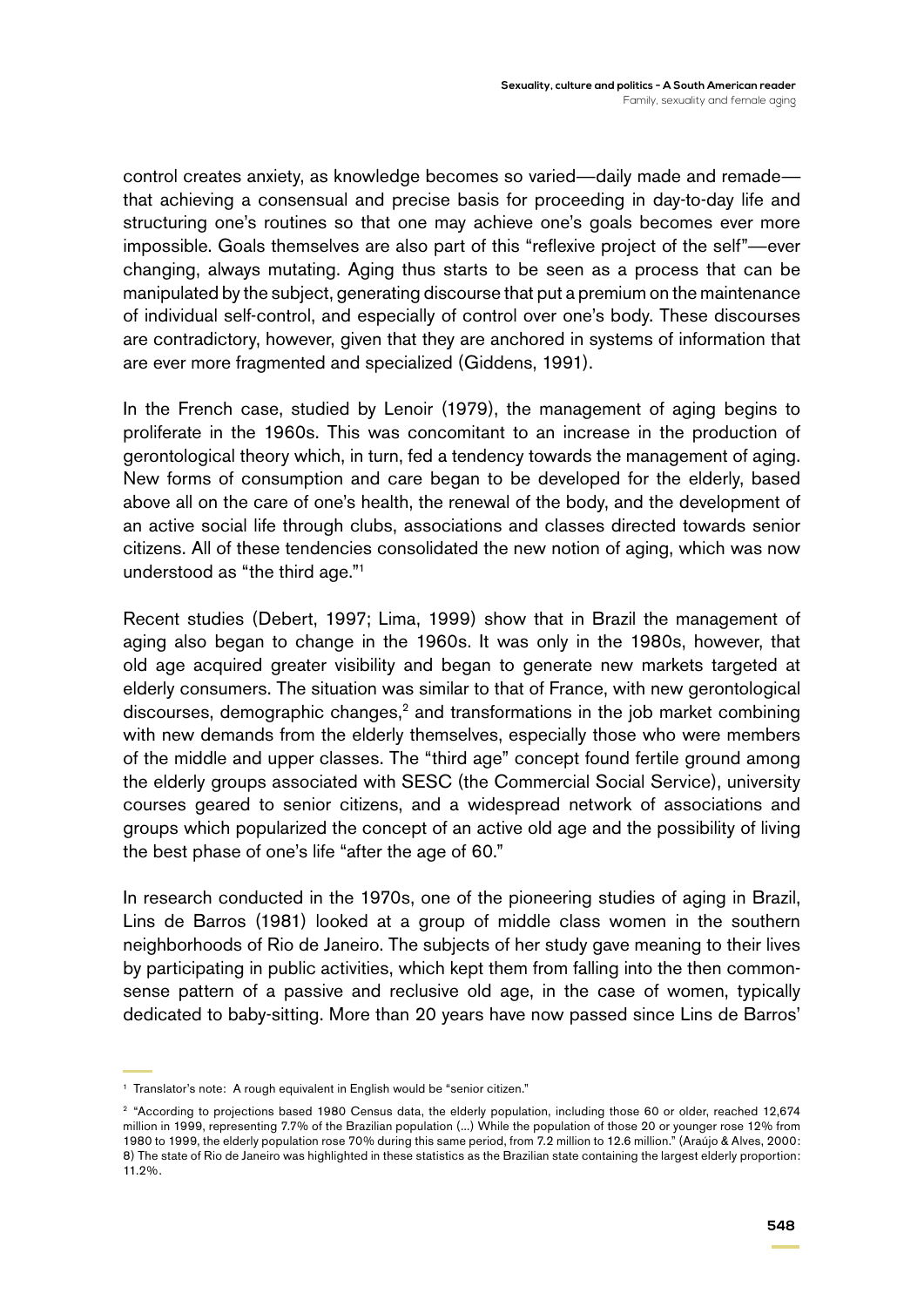control creates anxiety, as knowledge becomes so varied—daily made and remade that achieving a consensual and precise basis for proceeding in day-to-day life and structuring one's routines so that one may achieve one's goals becomes ever more impossible. Goals themselves are also part of this "reflexive project of the self"—ever changing, always mutating. Aging thus starts to be seen as a process that can be manipulated by the subject, generating discourse that put a premium on the maintenance of individual self-control, and especially of control over one's body. These discourses are contradictory, however, given that they are anchored in systems of information that are ever more fragmented and specialized (Giddens, 1991).

In the French case, studied by Lenoir (1979), the management of aging begins to proliferate in the 1960s. This was concomitant to an increase in the production of gerontological theory which, in turn, fed a tendency towards the management of aging. New forms of consumption and care began to be developed for the elderly, based above all on the care of one's health, the renewal of the body, and the development of an active social life through clubs, associations and classes directed towards senior citizens. All of these tendencies consolidated the new notion of aging, which was now understood as "the third age."1

Recent studies (Debert, 1997; Lima, 1999) show that in Brazil the management of aging also began to change in the 1960s. It was only in the 1980s, however, that old age acquired greater visibility and began to generate new markets targeted at elderly consumers. The situation was similar to that of France, with new gerontological discourses, demographic changes,<sup>2</sup> and transformations in the job market combining with new demands from the elderly themselves, especially those who were members of the middle and upper classes. The "third age" concept found fertile ground among the elderly groups associated with SESC (the Commercial Social Service), university courses geared to senior citizens, and a widespread network of associations and groups which popularized the concept of an active old age and the possibility of living the best phase of one's life "after the age of 60."

In research conducted in the 1970s, one of the pioneering studies of aging in Brazil, Lins de Barros (1981) looked at a group of middle class women in the southern neighborhoods of Rio de Janeiro. The subjects of her study gave meaning to their lives by participating in public activities, which kept them from falling into the then commonsense pattern of a passive and reclusive old age, in the case of women, typically dedicated to baby-sitting. More than 20 years have now passed since Lins de Barros'

<sup>&</sup>lt;sup>1</sup> Translator's note: A rough equivalent in English would be "senior citizen."

<sup>&</sup>lt;sup>2</sup> "According to projections based 1980 Census data, the elderly population, including those 60 or older, reached 12,674 million in 1999, representing 7.7% of the Brazilian population (...) While the population of those 20 or younger rose 12% from 1980 to 1999, the elderly population rose 70% during this same period, from 7.2 million to 12.6 million." (Araújo & Alves, 2000: 8) The state of Rio de Janeiro was highlighted in these statistics as the Brazilian state containing the largest elderly proportion: 11.2%.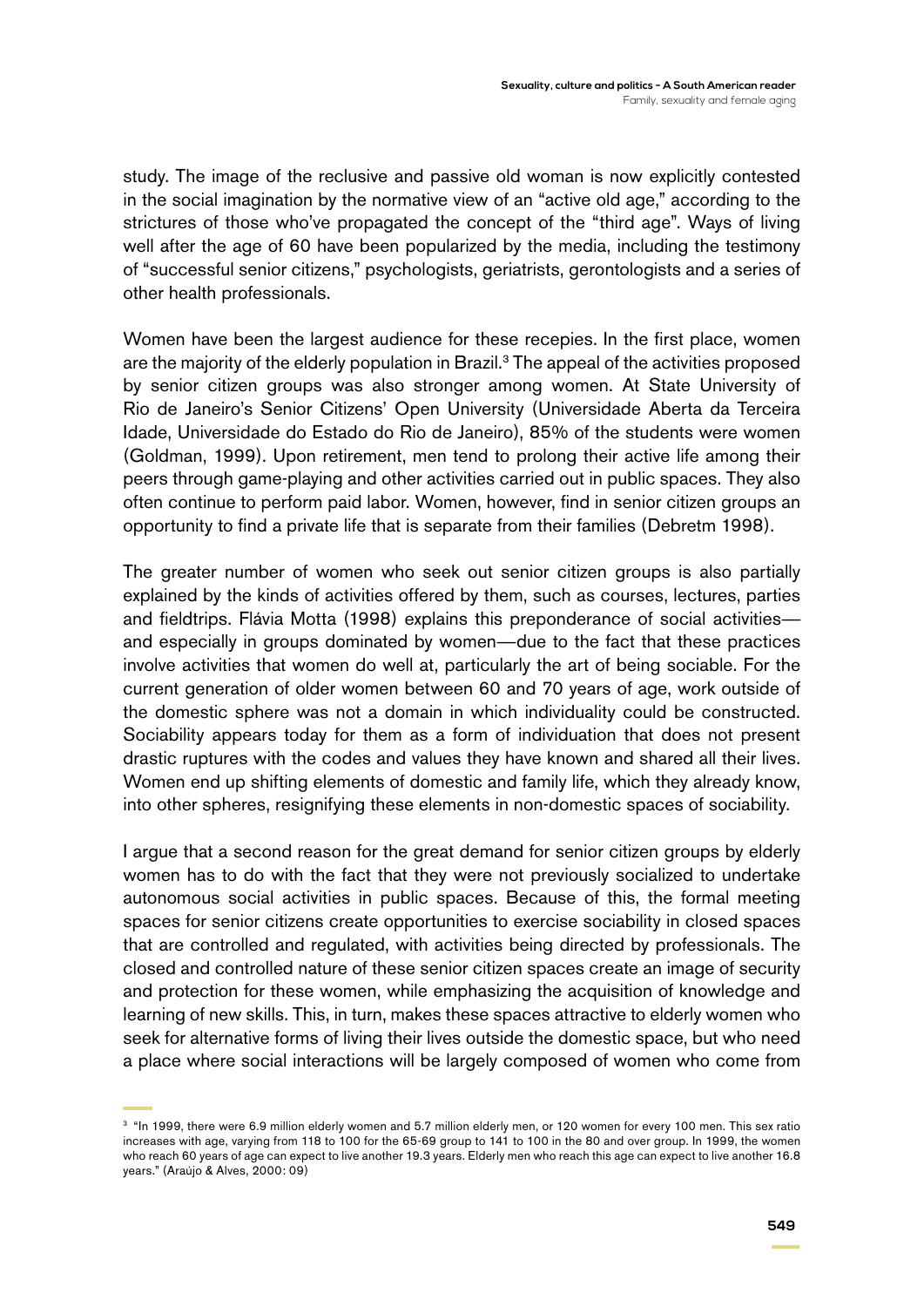study. The image of the reclusive and passive old woman is now explicitly contested in the social imagination by the normative view of an "active old age," according to the strictures of those who've propagated the concept of the "third age". Ways of living well after the age of 60 have been popularized by the media, including the testimony of "successful senior citizens," psychologists, geriatrists, gerontologists and a series of other health professionals.

Women have been the largest audience for these recepies. In the first place, women are the majority of the elderly population in Brazil.<sup>3</sup> The appeal of the activities proposed by senior citizen groups was also stronger among women. At State University of Rio de Janeiro's Senior Citizens' Open University (Universidade Aberta da Terceira Idade, Universidade do Estado do Rio de Janeiro), 85% of the students were women (Goldman, 1999). Upon retirement, men tend to prolong their active life among their peers through game-playing and other activities carried out in public spaces. They also often continue to perform paid labor. Women, however, find in senior citizen groups an opportunity to find a private life that is separate from their families (Debretm 1998).

The greater number of women who seek out senior citizen groups is also partially explained by the kinds of activities offered by them, such as courses, lectures, parties and fieldtrips. Flávia Motta (1998) explains this preponderance of social activities and especially in groups dominated by women—due to the fact that these practices involve activities that women do well at, particularly the art of being sociable. For the current generation of older women between 60 and 70 years of age, work outside of the domestic sphere was not a domain in which individuality could be constructed. Sociability appears today for them as a form of individuation that does not present drastic ruptures with the codes and values they have known and shared all their lives. Women end up shifting elements of domestic and family life, which they already know, into other spheres, resignifying these elements in non-domestic spaces of sociability.

I argue that a second reason for the great demand for senior citizen groups by elderly women has to do with the fact that they were not previously socialized to undertake autonomous social activities in public spaces. Because of this, the formal meeting spaces for senior citizens create opportunities to exercise sociability in closed spaces that are controlled and regulated, with activities being directed by professionals. The closed and controlled nature of these senior citizen spaces create an image of security and protection for these women, while emphasizing the acquisition of knowledge and learning of new skills. This, in turn, makes these spaces attractive to elderly women who seek for alternative forms of living their lives outside the domestic space, but who need a place where social interactions will be largely composed of women who come from

<sup>&</sup>lt;sup>3</sup> "In 1999, there were 6.9 million elderly women and 5.7 million elderly men, or 120 women for every 100 men. This sex ratio increases with age, varying from 118 to 100 for the 65-69 group to 141 to 100 in the 80 and over group. In 1999, the women who reach 60 years of age can expect to live another 19.3 years. Elderly men who reach this age can expect to live another 16.8 years." (Araújo & Alves, 2000: 09)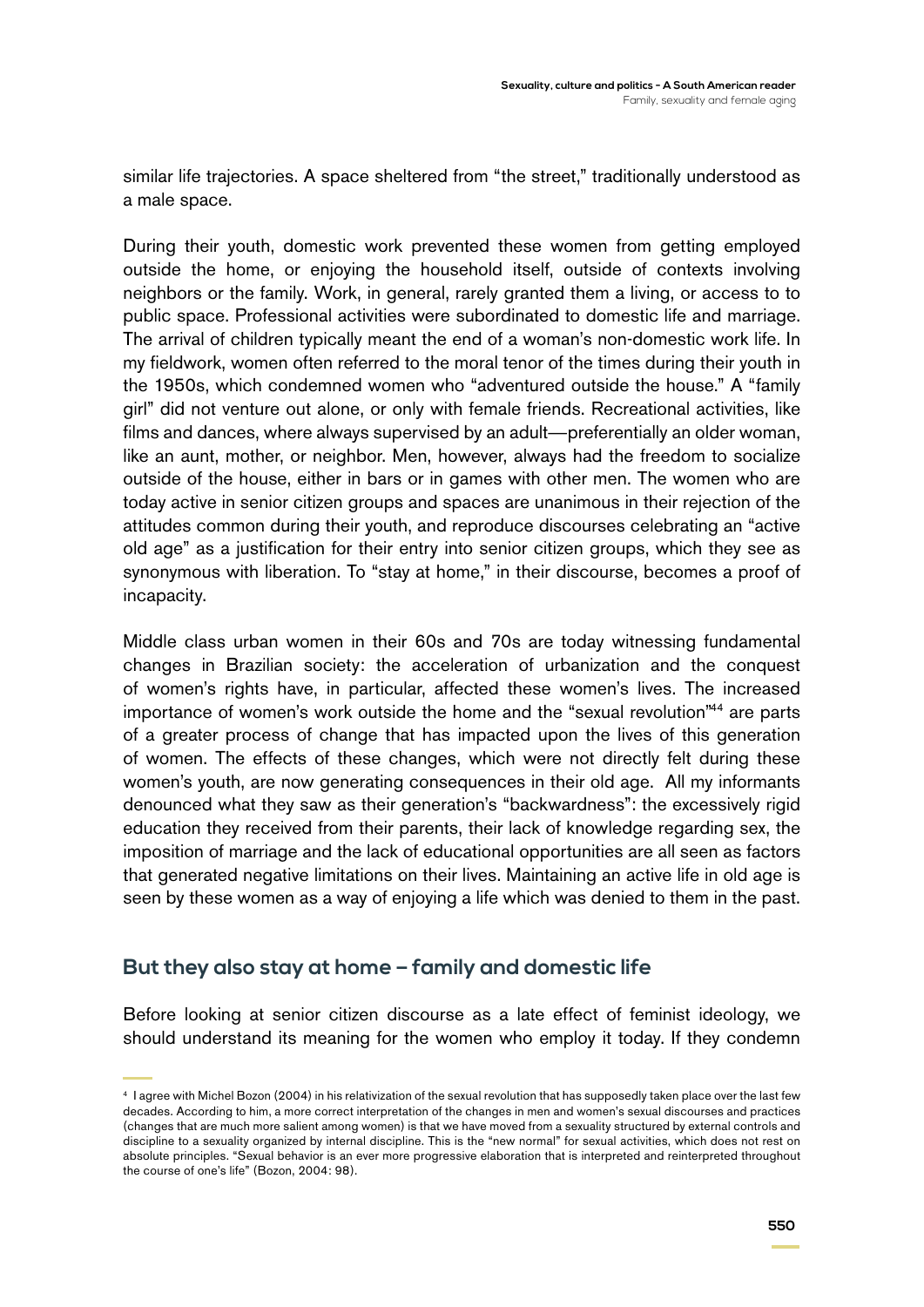similar life trajectories. A space sheltered from "the street," traditionally understood as a male space.

During their youth, domestic work prevented these women from getting employed outside the home, or enjoying the household itself, outside of contexts involving neighbors or the family. Work, in general, rarely granted them a living, or access to to public space. Professional activities were subordinated to domestic life and marriage. The arrival of children typically meant the end of a woman's non-domestic work life. In my fieldwork, women often referred to the moral tenor of the times during their youth in the 1950s, which condemned women who "adventured outside the house." A "family girl" did not venture out alone, or only with female friends. Recreational activities, like films and dances, where always supervised by an adult—preferentially an older woman, like an aunt, mother, or neighbor. Men, however, always had the freedom to socialize outside of the house, either in bars or in games with other men. The women who are today active in senior citizen groups and spaces are unanimous in their rejection of the attitudes common during their youth, and reproduce discourses celebrating an "active old age" as a justification for their entry into senior citizen groups, which they see as synonymous with liberation. To "stay at home," in their discourse, becomes a proof of incapacity.

Middle class urban women in their 60s and 70s are today witnessing fundamental changes in Brazilian society: the acceleration of urbanization and the conquest of women's rights have, in particular, affected these women's lives. The increased importance of women's work outside the home and the "sexual revolution"44 are parts of a greater process of change that has impacted upon the lives of this generation of women. The effects of these changes, which were not directly felt during these women's youth, are now generating consequences in their old age. All my informants denounced what they saw as their generation's "backwardness": the excessively rigid education they received from their parents, their lack of knowledge regarding sex, the imposition of marriage and the lack of educational opportunities are all seen as factors that generated negative limitations on their lives. Maintaining an active life in old age is seen by these women as a way of enjoying a life which was denied to them in the past.

#### **But they also stay at home – family and domestic life**

Before looking at senior citizen discourse as a late effect of feminist ideology, we should understand its meaning for the women who employ it today. If they condemn

<sup>4</sup> I agree with Michel Bozon (2004) in his relativization of the sexual revolution that has supposedly taken place over the last few decades. According to him, a more correct interpretation of the changes in men and women's sexual discourses and practices (changes that are much more salient among women) is that we have moved from a sexuality structured by external controls and discipline to a sexuality organized by internal discipline. This is the "new normal" for sexual activities, which does not rest on absolute principles. "Sexual behavior is an ever more progressive elaboration that is interpreted and reinterpreted throughout the course of one's life" (Bozon, 2004: 98).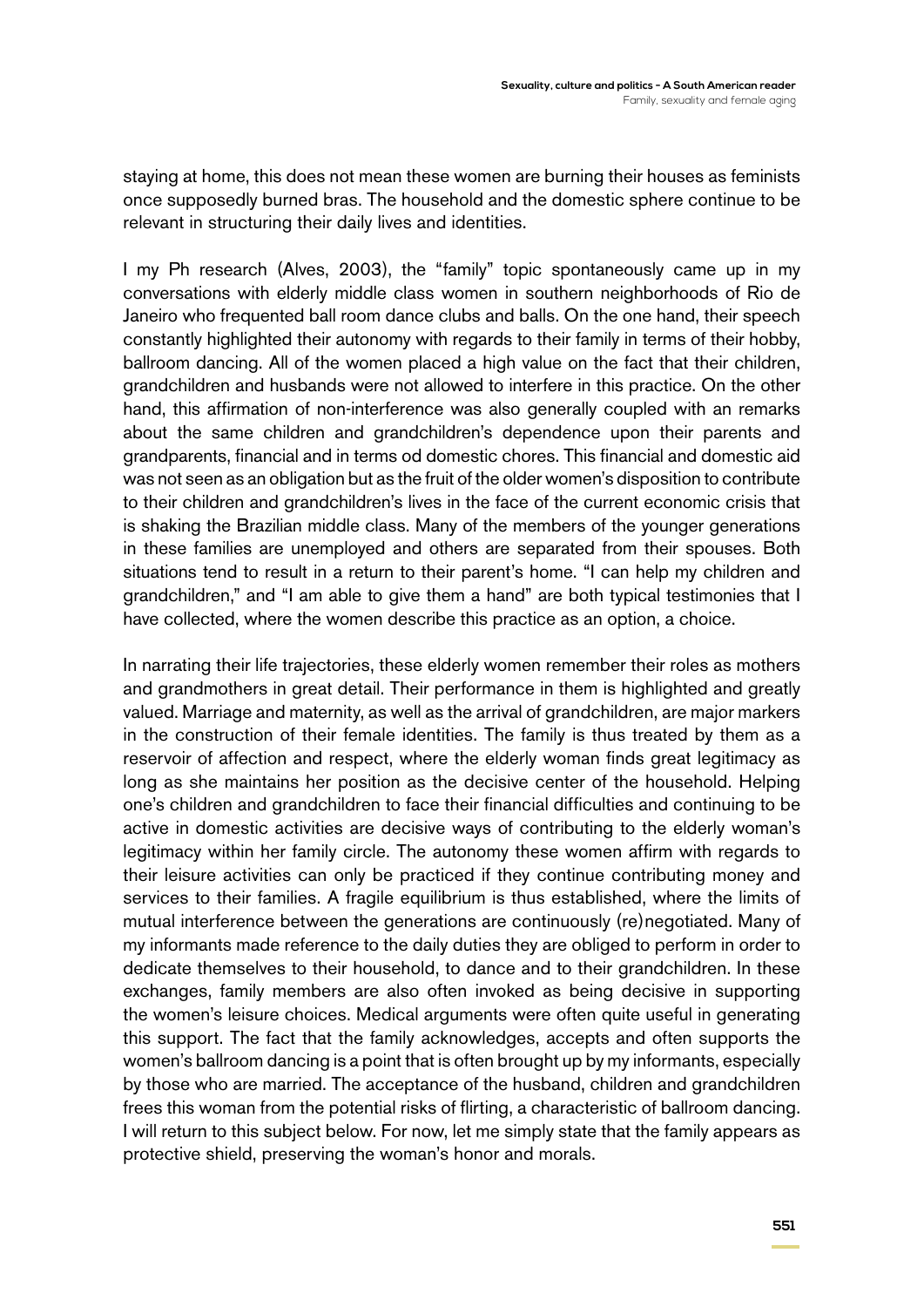staying at home, this does not mean these women are burning their houses as feminists once supposedly burned bras. The household and the domestic sphere continue to be relevant in structuring their daily lives and identities.

I my Ph research (Alves, 2003), the "family" topic spontaneously came up in my conversations with elderly middle class women in southern neighborhoods of Rio de Janeiro who frequented ball room dance clubs and balls. On the one hand, their speech constantly highlighted their autonomy with regards to their family in terms of their hobby, ballroom dancing. All of the women placed a high value on the fact that their children, grandchildren and husbands were not allowed to interfere in this practice. On the other hand, this affirmation of non-interference was also generally coupled with an remarks about the same children and grandchildren's dependence upon their parents and grandparents, financial and in terms od domestic chores. This financial and domestic aid was not seen as an obligation but as the fruit of the older women's disposition to contribute to their children and grandchildren's lives in the face of the current economic crisis that is shaking the Brazilian middle class. Many of the members of the younger generations in these families are unemployed and others are separated from their spouses. Both situations tend to result in a return to their parent's home. "I can help my children and grandchildren," and "I am able to give them a hand" are both typical testimonies that I have collected, where the women describe this practice as an option, a choice.

In narrating their life trajectories, these elderly women remember their roles as mothers and grandmothers in great detail. Their performance in them is highlighted and greatly valued. Marriage and maternity, as well as the arrival of grandchildren, are major markers in the construction of their female identities. The family is thus treated by them as a reservoir of affection and respect, where the elderly woman finds great legitimacy as long as she maintains her position as the decisive center of the household. Helping one's children and grandchildren to face their financial difficulties and continuing to be active in domestic activities are decisive ways of contributing to the elderly woman's legitimacy within her family circle. The autonomy these women affirm with regards to their leisure activities can only be practiced if they continue contributing money and services to their families. A fragile equilibrium is thus established, where the limits of mutual interference between the generations are continuously (re)negotiated. Many of my informants made reference to the daily duties they are obliged to perform in order to dedicate themselves to their household, to dance and to their grandchildren. In these exchanges, family members are also often invoked as being decisive in supporting the women's leisure choices. Medical arguments were often quite useful in generating this support. The fact that the family acknowledges, accepts and often supports the women's ballroom dancing is a point that is often brought up by my informants, especially by those who are married. The acceptance of the husband, children and grandchildren frees this woman from the potential risks of flirting, a characteristic of ballroom dancing. I will return to this subject below. For now, let me simply state that the family appears as protective shield, preserving the woman's honor and morals.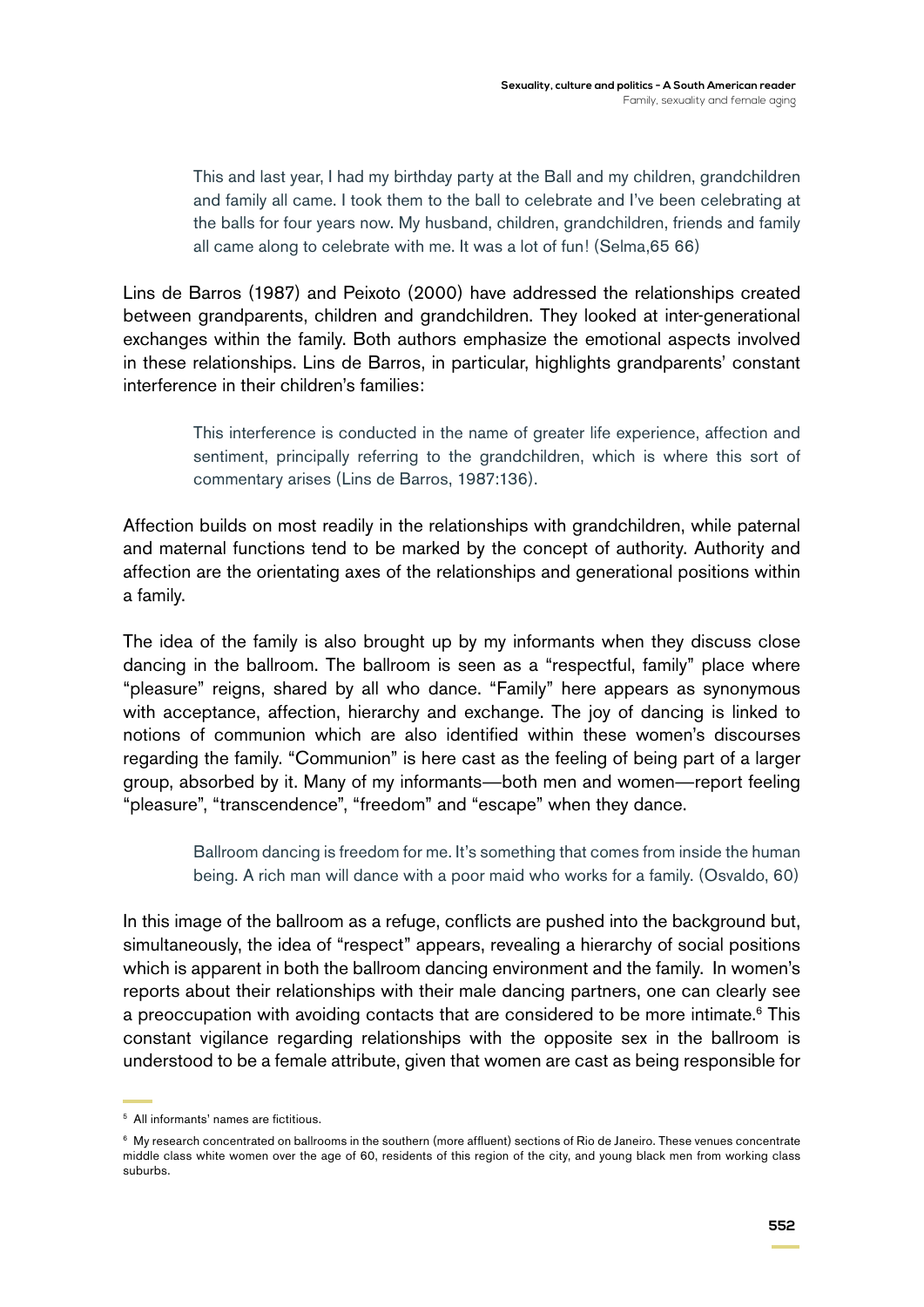This and last year, I had my birthday party at the Ball and my children, grandchildren and family all came. I took them to the ball to celebrate and I've been celebrating at the balls for four years now. My husband, children, grandchildren, friends and family all came along to celebrate with me. It was a lot of fun! (Selma,65 66)

Lins de Barros (1987) and Peixoto (2000) have addressed the relationships created between grandparents, children and grandchildren. They looked at inter-generational exchanges within the family. Both authors emphasize the emotional aspects involved in these relationships. Lins de Barros, in particular, highlights grandparents' constant interference in their children's families:

> This interference is conducted in the name of greater life experience, affection and sentiment, principally referring to the grandchildren, which is where this sort of commentary arises (Lins de Barros, 1987:136).

Affection builds on most readily in the relationships with grandchildren, while paternal and maternal functions tend to be marked by the concept of authority. Authority and affection are the orientating axes of the relationships and generational positions within a family.

The idea of the family is also brought up by my informants when they discuss close dancing in the ballroom. The ballroom is seen as a "respectful, family" place where "pleasure" reigns, shared by all who dance. "Family" here appears as synonymous with acceptance, affection, hierarchy and exchange. The joy of dancing is linked to notions of communion which are also identified within these women's discourses regarding the family. "Communion" is here cast as the feeling of being part of a larger group, absorbed by it. Many of my informants—both men and women—report feeling "pleasure", "transcendence", "freedom" and "escape" when they dance.

> Ballroom dancing is freedom for me. It's something that comes from inside the human being. A rich man will dance with a poor maid who works for a family. (Osvaldo, 60)

In this image of the ballroom as a refuge, conflicts are pushed into the background but, simultaneously, the idea of "respect" appears, revealing a hierarchy of social positions which is apparent in both the ballroom dancing environment and the family. In women's reports about their relationships with their male dancing partners, one can clearly see a preoccupation with avoiding contacts that are considered to be more intimate.<sup>6</sup> This constant vigilance regarding relationships with the opposite sex in the ballroom is understood to be a female attribute, given that women are cast as being responsible for

<sup>5</sup> All informants' names are fictitious.

<sup>&</sup>lt;sup>6</sup> My research concentrated on ballrooms in the southern (more affluent) sections of Rio de Janeiro. These venues concentrate middle class white women over the age of 60, residents of this region of the city, and young black men from working class suburbs.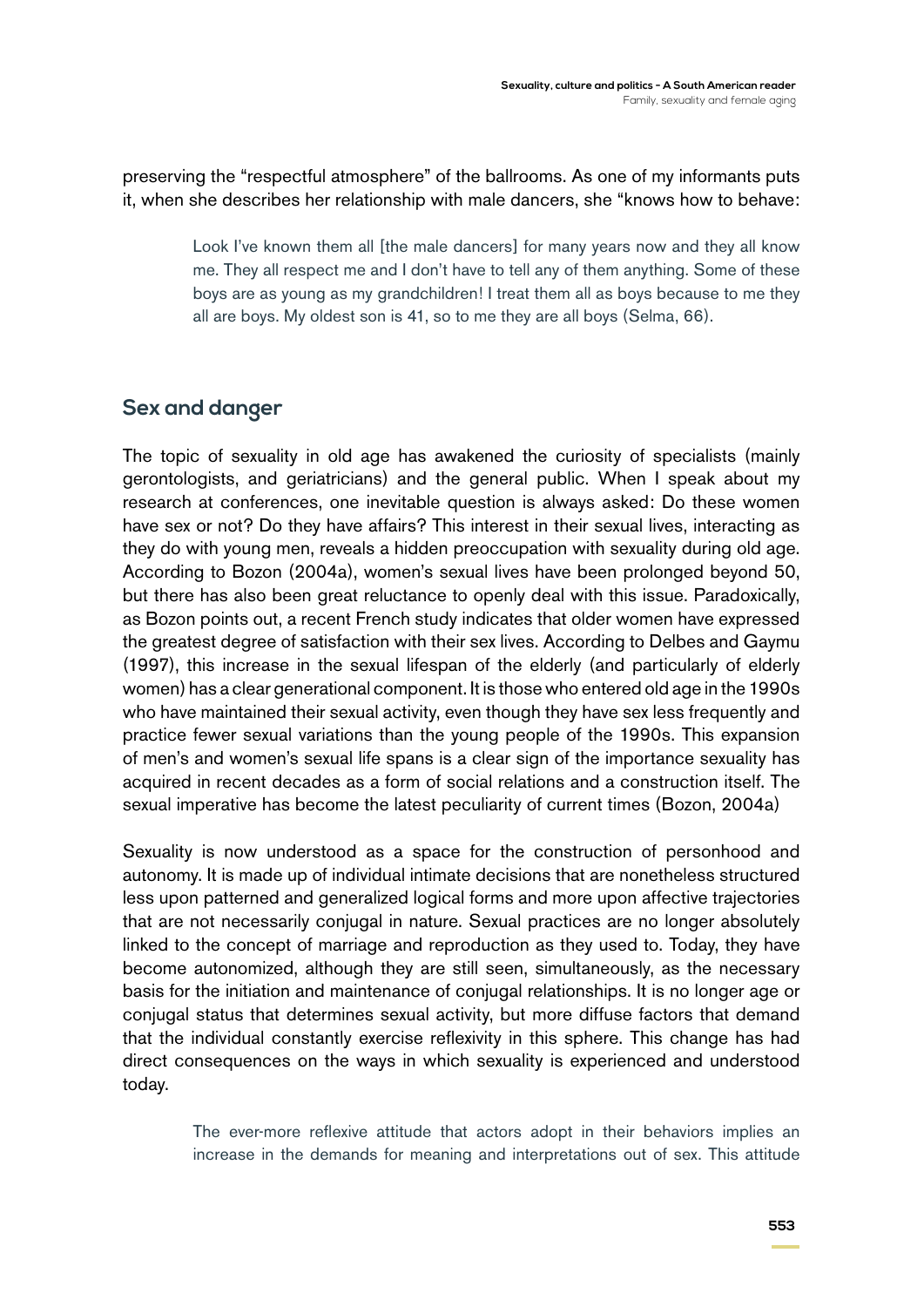preserving the "respectful atmosphere" of the ballrooms. As one of my informants puts it, when she describes her relationship with male dancers, she "knows how to behave:

> Look I've known them all [the male dancers] for many years now and they all know me. They all respect me and I don't have to tell any of them anything. Some of these boys are as young as my grandchildren! I treat them all as boys because to me they all are boys. My oldest son is 41, so to me they are all boys (Selma, 66).

### **Sex and danger**

The topic of sexuality in old age has awakened the curiosity of specialists (mainly gerontologists, and geriatricians) and the general public. When I speak about my research at conferences, one inevitable question is always asked: Do these women have sex or not? Do they have affairs? This interest in their sexual lives, interacting as they do with young men, reveals a hidden preoccupation with sexuality during old age. According to Bozon (2004a), women's sexual lives have been prolonged beyond 50, but there has also been great reluctance to openly deal with this issue. Paradoxically, as Bozon points out, a recent French study indicates that older women have expressed the greatest degree of satisfaction with their sex lives. According to Delbes and Gaymu (1997), this increase in the sexual lifespan of the elderly (and particularly of elderly women) has a clear generational component. It is those who entered old age in the 1990s who have maintained their sexual activity, even though they have sex less frequently and practice fewer sexual variations than the young people of the 1990s. This expansion of men's and women's sexual life spans is a clear sign of the importance sexuality has acquired in recent decades as a form of social relations and a construction itself. The sexual imperative has become the latest peculiarity of current times (Bozon, 2004a)

Sexuality is now understood as a space for the construction of personhood and autonomy. It is made up of individual intimate decisions that are nonetheless structured less upon patterned and generalized logical forms and more upon affective trajectories that are not necessarily conjugal in nature. Sexual practices are no longer absolutely linked to the concept of marriage and reproduction as they used to. Today, they have become autonomized, although they are still seen, simultaneously, as the necessary basis for the initiation and maintenance of conjugal relationships. It is no longer age or conjugal status that determines sexual activity, but more diffuse factors that demand that the individual constantly exercise reflexivity in this sphere. This change has had direct consequences on the ways in which sexuality is experienced and understood today.

> The ever-more reflexive attitude that actors adopt in their behaviors implies an increase in the demands for meaning and interpretations out of sex. This attitude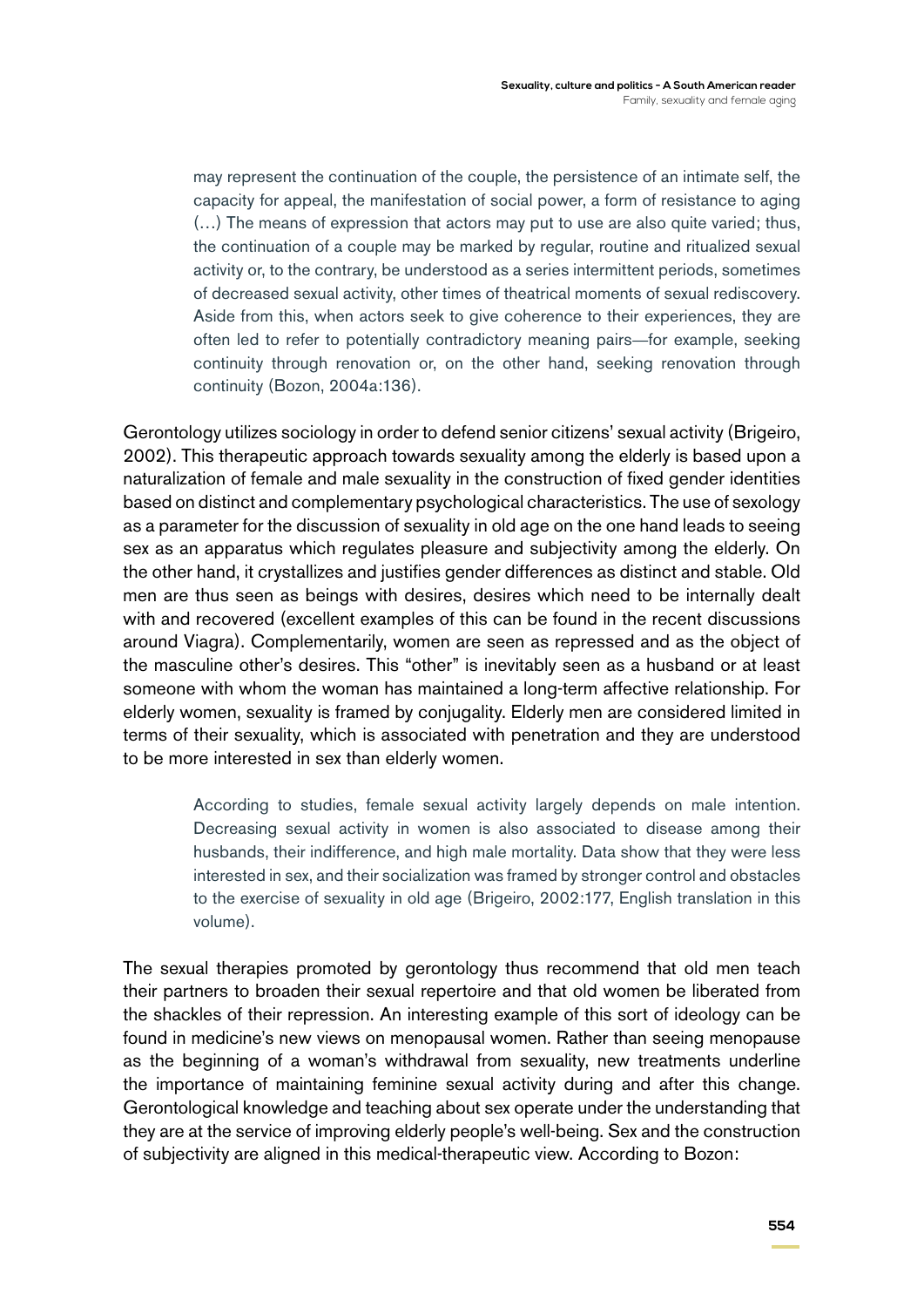may represent the continuation of the couple, the persistence of an intimate self, the capacity for appeal, the manifestation of social power, a form of resistance to aging (…) The means of expression that actors may put to use are also quite varied; thus, the continuation of a couple may be marked by regular, routine and ritualized sexual activity or, to the contrary, be understood as a series intermittent periods, sometimes of decreased sexual activity, other times of theatrical moments of sexual rediscovery. Aside from this, when actors seek to give coherence to their experiences, they are often led to refer to potentially contradictory meaning pairs—for example, seeking continuity through renovation or, on the other hand, seeking renovation through continuity (Bozon, 2004a:136).

Gerontology utilizes sociology in order to defend senior citizens' sexual activity (Brigeiro, 2002). This therapeutic approach towards sexuality among the elderly is based upon a naturalization of female and male sexuality in the construction of fixed gender identities based on distinct and complementary psychological characteristics. The use of sexology as a parameter for the discussion of sexuality in old age on the one hand leads to seeing sex as an apparatus which regulates pleasure and subjectivity among the elderly. On the other hand, it crystallizes and justifies gender differences as distinct and stable. Old men are thus seen as beings with desires, desires which need to be internally dealt with and recovered (excellent examples of this can be found in the recent discussions around Viagra). Complementarily, women are seen as repressed and as the object of the masculine other's desires. This "other" is inevitably seen as a husband or at least someone with whom the woman has maintained a long-term affective relationship. For elderly women, sexuality is framed by conjugality. Elderly men are considered limited in terms of their sexuality, which is associated with penetration and they are understood to be more interested in sex than elderly women.

> According to studies, female sexual activity largely depends on male intention. Decreasing sexual activity in women is also associated to disease among their husbands, their indifference, and high male mortality. Data show that they were less interested in sex, and their socialization was framed by stronger control and obstacles to the exercise of sexuality in old age (Brigeiro, 2002:177, English translation in this volume).

The sexual therapies promoted by gerontology thus recommend that old men teach their partners to broaden their sexual repertoire and that old women be liberated from the shackles of their repression. An interesting example of this sort of ideology can be found in medicine's new views on menopausal women. Rather than seeing menopause as the beginning of a woman's withdrawal from sexuality, new treatments underline the importance of maintaining feminine sexual activity during and after this change. Gerontological knowledge and teaching about sex operate under the understanding that they are at the service of improving elderly people's well-being. Sex and the construction of subjectivity are aligned in this medical-therapeutic view. According to Bozon: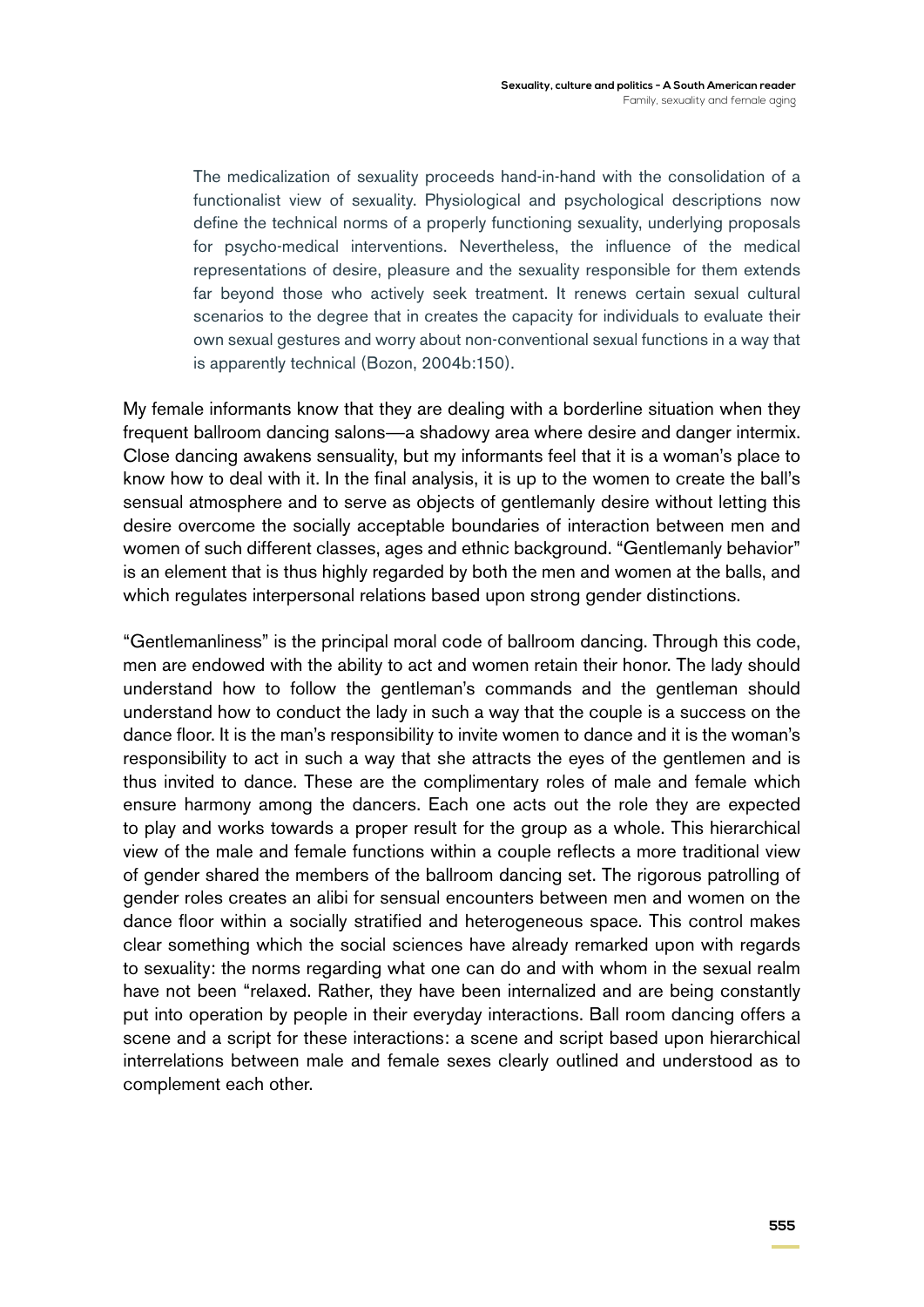The medicalization of sexuality proceeds hand-in-hand with the consolidation of a functionalist view of sexuality. Physiological and psychological descriptions now define the technical norms of a properly functioning sexuality, underlying proposals for psycho-medical interventions. Nevertheless, the influence of the medical representations of desire, pleasure and the sexuality responsible for them extends far beyond those who actively seek treatment. It renews certain sexual cultural scenarios to the degree that in creates the capacity for individuals to evaluate their own sexual gestures and worry about non-conventional sexual functions in a way that is apparently technical (Bozon, 2004b:150).

My female informants know that they are dealing with a borderline situation when they frequent ballroom dancing salons—a shadowy area where desire and danger intermix. Close dancing awakens sensuality, but my informants feel that it is a woman's place to know how to deal with it. In the final analysis, it is up to the women to create the ball's sensual atmosphere and to serve as objects of gentlemanly desire without letting this desire overcome the socially acceptable boundaries of interaction between men and women of such different classes, ages and ethnic background. "Gentlemanly behavior" is an element that is thus highly regarded by both the men and women at the balls, and which regulates interpersonal relations based upon strong gender distinctions.

"Gentlemanliness" is the principal moral code of ballroom dancing. Through this code, men are endowed with the ability to act and women retain their honor. The lady should understand how to follow the gentleman's commands and the gentleman should understand how to conduct the lady in such a way that the couple is a success on the dance floor. It is the man's responsibility to invite women to dance and it is the woman's responsibility to act in such a way that she attracts the eyes of the gentlemen and is thus invited to dance. These are the complimentary roles of male and female which ensure harmony among the dancers. Each one acts out the role they are expected to play and works towards a proper result for the group as a whole. This hierarchical view of the male and female functions within a couple reflects a more traditional view of gender shared the members of the ballroom dancing set. The rigorous patrolling of gender roles creates an alibi for sensual encounters between men and women on the dance floor within a socially stratified and heterogeneous space. This control makes clear something which the social sciences have already remarked upon with regards to sexuality: the norms regarding what one can do and with whom in the sexual realm have not been "relaxed. Rather, they have been internalized and are being constantly put into operation by people in their everyday interactions. Ball room dancing offers a scene and a script for these interactions: a scene and script based upon hierarchical interrelations between male and female sexes clearly outlined and understood as to complement each other.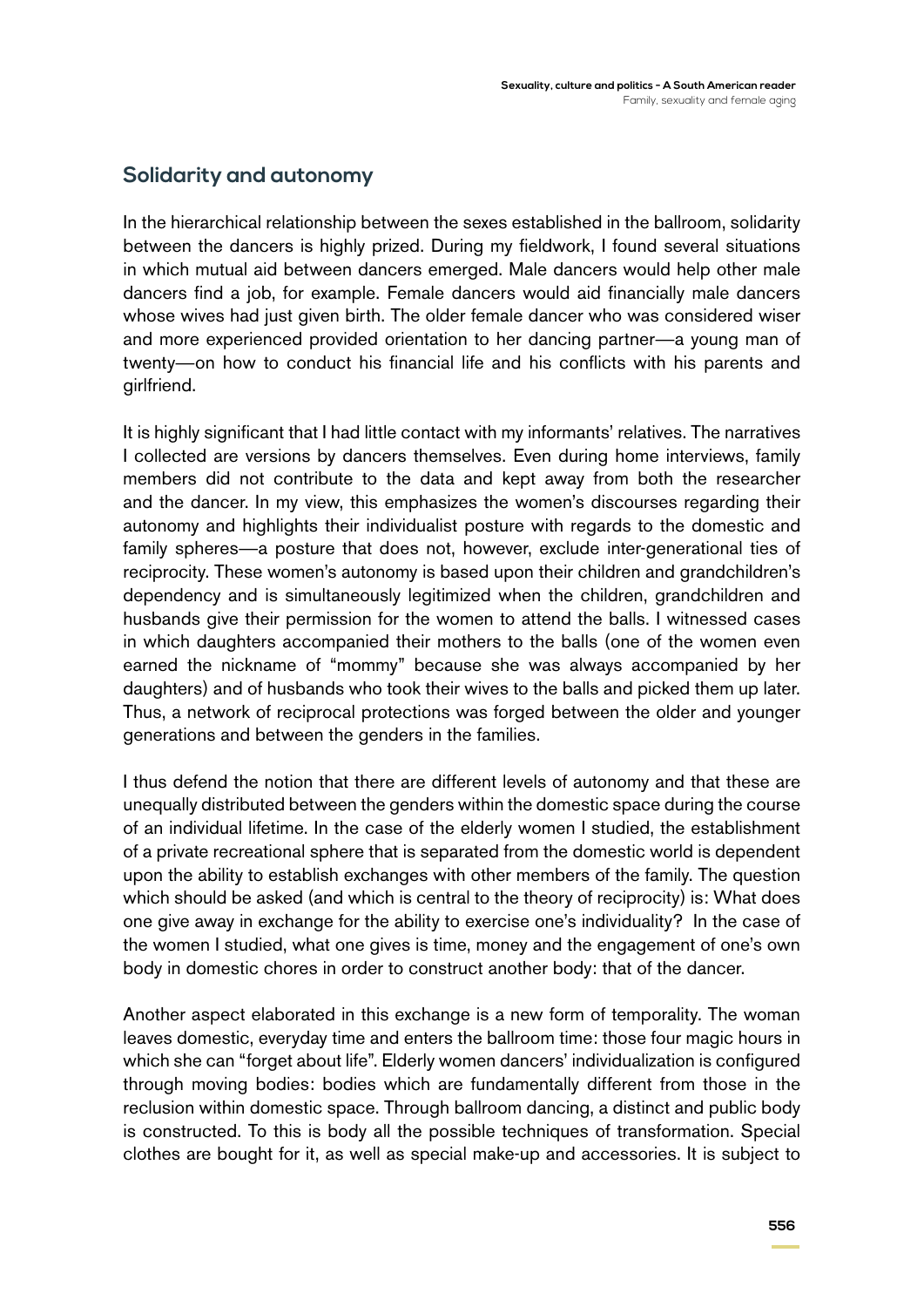### **Solidarity and autonomy**

In the hierarchical relationship between the sexes established in the ballroom, solidarity between the dancers is highly prized. During my fieldwork, I found several situations in which mutual aid between dancers emerged. Male dancers would help other male dancers find a job, for example. Female dancers would aid financially male dancers whose wives had just given birth. The older female dancer who was considered wiser and more experienced provided orientation to her dancing partner—a young man of twenty—on how to conduct his financial life and his conflicts with his parents and girlfriend.

It is highly significant that I had little contact with my informants' relatives. The narratives I collected are versions by dancers themselves. Even during home interviews, family members did not contribute to the data and kept away from both the researcher and the dancer. In my view, this emphasizes the women's discourses regarding their autonomy and highlights their individualist posture with regards to the domestic and family spheres—a posture that does not, however, exclude inter-generational ties of reciprocity. These women's autonomy is based upon their children and grandchildren's dependency and is simultaneously legitimized when the children, grandchildren and husbands give their permission for the women to attend the balls. I witnessed cases in which daughters accompanied their mothers to the balls (one of the women even earned the nickname of "mommy" because she was always accompanied by her daughters) and of husbands who took their wives to the balls and picked them up later. Thus, a network of reciprocal protections was forged between the older and younger generations and between the genders in the families.

I thus defend the notion that there are different levels of autonomy and that these are unequally distributed between the genders within the domestic space during the course of an individual lifetime. In the case of the elderly women I studied, the establishment of a private recreational sphere that is separated from the domestic world is dependent upon the ability to establish exchanges with other members of the family. The question which should be asked (and which is central to the theory of reciprocity) is: What does one give away in exchange for the ability to exercise one's individuality? In the case of the women I studied, what one gives is time, money and the engagement of one's own body in domestic chores in order to construct another body: that of the dancer.

Another aspect elaborated in this exchange is a new form of temporality. The woman leaves domestic, everyday time and enters the ballroom time: those four magic hours in which she can "forget about life". Elderly women dancers' individualization is configured through moving bodies: bodies which are fundamentally different from those in the reclusion within domestic space. Through ballroom dancing, a distinct and public body is constructed. To this is body all the possible techniques of transformation. Special clothes are bought for it, as well as special make-up and accessories. It is subject to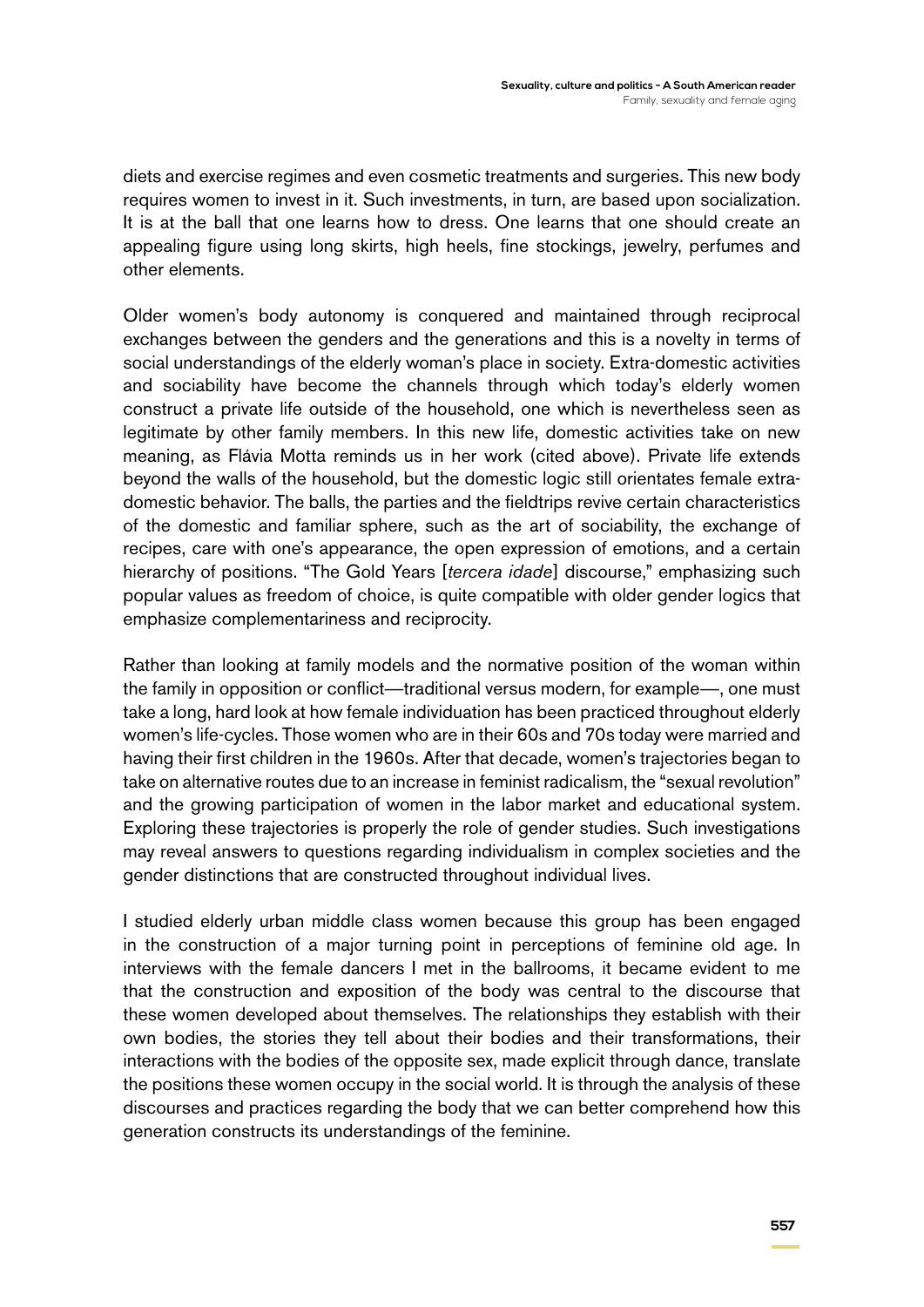diets and exercise regimes and even cosmetic treatments and surgeries. This new body requires women to invest in it. Such investments, in turn, are based upon socialization. It is at the ball that one learns how to dress. One learns that one should create an appealing figure using long skirts, high heels, fine stockings, jewelry, perfumes and other elements.

Older women's body autonomy is conquered and maintained through reciprocal exchanges between the genders and the generations and this is a novelty in terms of social understandings of the elderly woman's place in society. Extra-domestic activities and sociability have become the channels through which today's elderly women construct a private life outside of the household, one which is nevertheless seen as legitimate by other family members. In this new life, domestic activities take on new meaning, as Flávia Motta reminds us in her work (cited above). Private life extends beyond the walls of the household, but the domestic logic still orientates female extradomestic behavior. The balls, the parties and the fieldtrips revive certain characteristics of the domestic and familiar sphere, such as the art of sociability, the exchange of recipes, care with one's appearance, the open expression of emotions, and a certain hierarchy of positions. "The Gold Years [*tercera idade*] discourse," emphasizing such popular values as freedom of choice, is quite compatible with older gender logics that emphasize complementariness and reciprocity.

Rather than looking at family models and the normative position of the woman within the family in opposition or conflict—traditional versus modern, for example—, one must take a long, hard look at how female individuation has been practiced throughout elderly women's life-cycles. Those women who are in their 60s and 70s today were married and having their first children in the 1960s. After that decade, women's trajectories began to take on alternative routes due to an increase in feminist radicalism, the "sexual revolution" and the growing participation of women in the labor market and educational system. Exploring these trajectories is properly the role of gender studies. Such investigations may reveal answers to questions regarding individualism in complex societies and the gender distinctions that are constructed throughout individual lives.

I studied elderly urban middle class women because this group has been engaged in the construction of a major turning point in perceptions of feminine old age. In interviews with the female dancers I met in the ballrooms, it became evident to me that the construction and exposition of the body was central to the discourse that these women developed about themselves. The relationships they establish with their own bodies, the stories they tell about their bodies and their transformations, their interactions with the bodies of the opposite sex, made explicit through dance, translate the positions these women occupy in the social world. It is through the analysis of these discourses and practices regarding the body that we can better comprehend how this generation constructs its understandings of the feminine.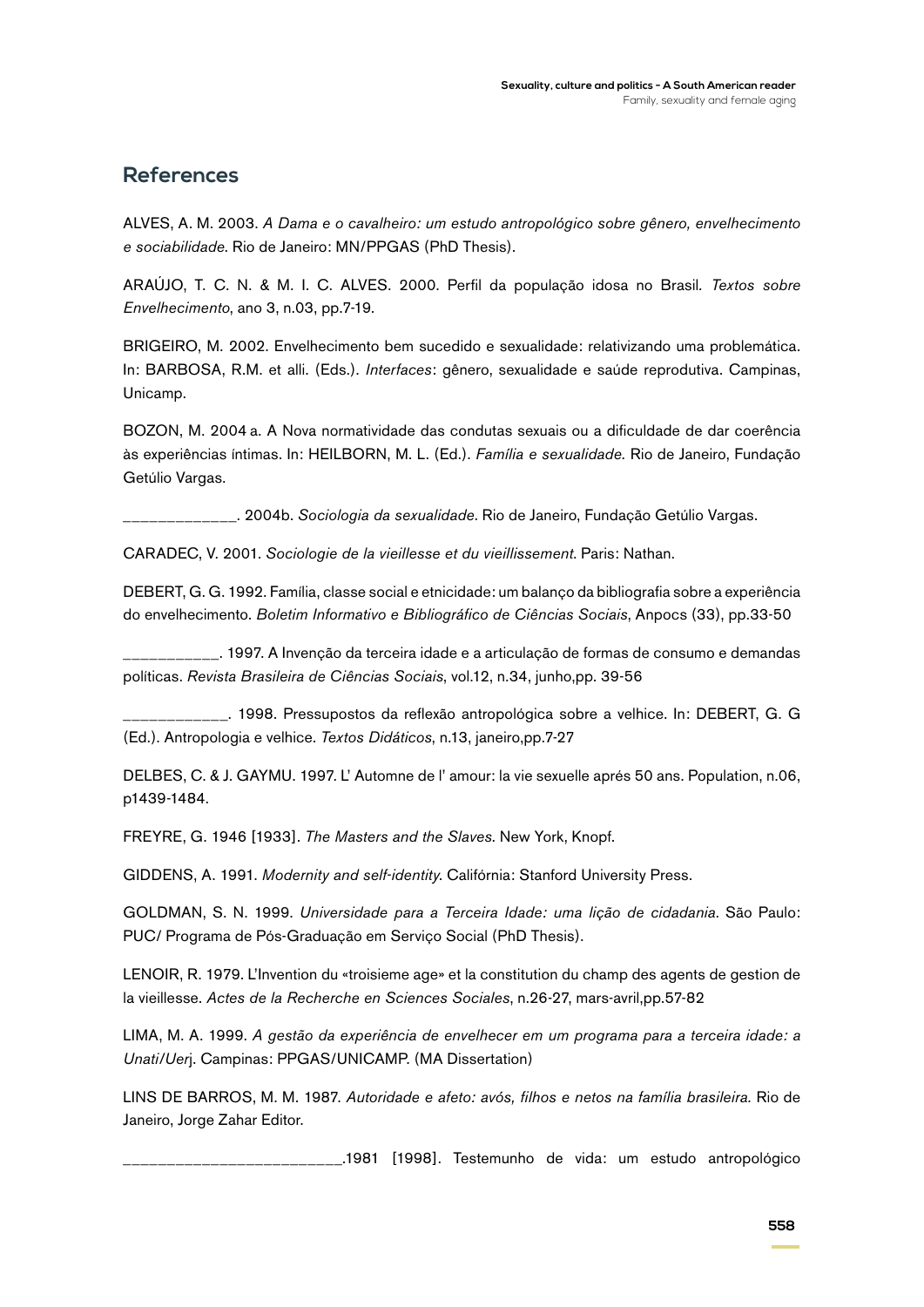#### **References**

ALVES, A. M. 2003. *A Dama e o cavalheiro: um estudo antropológico sobre gênero, envelhecimento e sociabilidade*. Rio de Janeiro: MN/PPGAS (PhD Thesis).

ARAÚJO, T. C. N. & M. I. C. ALVES. 2000. Perfil da população idosa no Brasil*. Textos sobre Envelhecimento*, ano 3, n.03, pp.7-19.

BRIGEIRO, M. 2002. Envelhecimento bem sucedido e sexualidade: relativizando uma problemática. In: BARBOSA, R.M. et alli. (Eds.). *Interfaces*: gênero, sexualidade e saúde reprodutiva. Campinas, Unicamp.

BOZON, M. 2004 a. A Nova normatividade das condutas sexuais ou a dificuldade de dar coerência às experiências íntimas. In: HEILBORN, M. L. (Ed.). *Família e sexualidade.* Rio de Janeiro, Fundação Getúlio Vargas.

\_\_\_\_\_\_\_\_\_\_\_\_\_. 2004b. *Sociologia da sexualidade*. Rio de Janeiro, Fundação Getúlio Vargas.

CARADEC, V. 2001. *Sociologie de la vieillesse et du vieillissement*. Paris: Nathan.

DEBERT, G. G. 1992. Família, classe social e etnicidade: um balanço da bibliografia sobre a experiência do envelhecimento. *Boletim Informativo e Bibliográfico de Ciências Sociais*, Anpocs (33), pp.33-50

\_\_\_\_\_\_\_\_\_\_\_. 1997. A Invenção da terceira idade e a articulação de formas de consumo e demandas políticas. *Revista Brasileira de Ciências Sociais*, vol.12, n.34, junho,pp. 39-56

\_\_\_\_\_\_\_\_\_\_\_\_. 1998. Pressupostos da reflexão antropológica sobre a velhice. In: DEBERT, G. G (Ed.). Antropologia e velhice. *Textos Didáticos*, n.13, janeiro,pp.7-27

DELBES, C. & J. GAYMU. 1997. L' Automne de l' amour: la vie sexuelle aprés 50 ans. Population, n.06, p1439-1484.

FREYRE, G. 1946 [1933]. *The Masters and the Slaves*. New York, Knopf.

GIDDENS, A. 1991. *Modernity and self-identity*. Califórnia: Stanford University Press.

GOLDMAN, S. N. 1999. *Universidade para a Terceira Idade: uma lição de cidadania*. São Paulo: PUC/ Programa de Pós-Graduação em Serviço Social (PhD Thesis).

LENOIR, R. 1979. L'Invention du «troisieme age» et la constitution du champ des agents de gestion de la vieillesse. *Actes de la Recherche en Sciences Sociales*, n.26-27, mars-avril,pp.57-82

LIMA, M. A. 1999. *A gestão da experiência de envelhecer em um programa para a terceira idade: a Unati/Uer*j. Campinas: PPGAS/UNICAMP. (MA Dissertation)

LINS DE BARROS, M. M. 1987. *Autoridade e afeto: avós, filhos e netos na família brasileira.* Rio de Janeiro, Jorge Zahar Editor.

\_\_\_\_\_\_\_\_\_\_\_\_\_\_\_\_\_\_\_\_\_\_\_\_\_.1981 [1998]. Testemunho de vida: um estudo antropológico